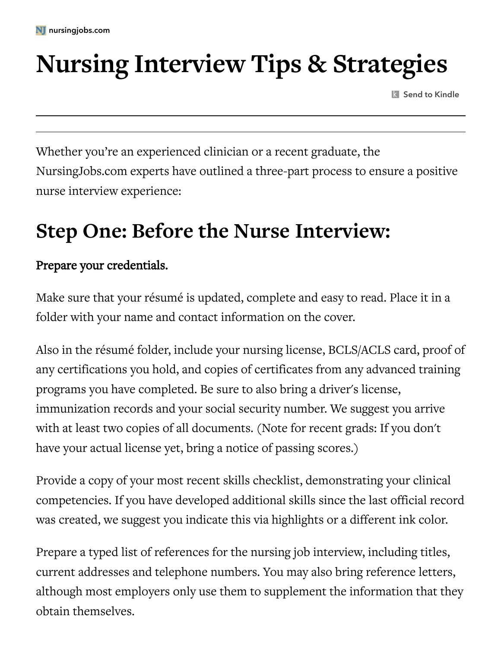# **Nursing Interview Tips & Strategies**

**K** Send to Kindle

Whether you're an experienced clinician or a recent graduate, the NursingJobs.com experts have outlined a three-part process to ensure a positive nurse interview experience:

# **Step One: Before the Nurse Interview:**

#### Prepare your credentials.

Make sure that your résumé is updated, complete and easy to read. Place it in a folder with your name and contact information on the cover.

Also in the résumé folder, include your nursing license, BCLS/ACLS card, proof of any certifications you hold, and copies of certificates from any advanced training programs you have completed. Be sure to also bring a driver's license, immunization records and your social security number. We suggest you arrive with at least two copies of all documents. (Note for recent grads: If you don't have your actual license yet, bring a notice of passing scores.)

Provide a copy of your most recent skills checklist, demonstrating your clinical competencies. If you have developed additional skills since the last official record was created, we suggest you indicate this via highlights or a different ink color.

Prepare a typed list of references for the nursing job interview, including titles, current addresses and telephone numbers. You may also bring reference letters, although most employers only use them to supplement the information that they obtain themselves.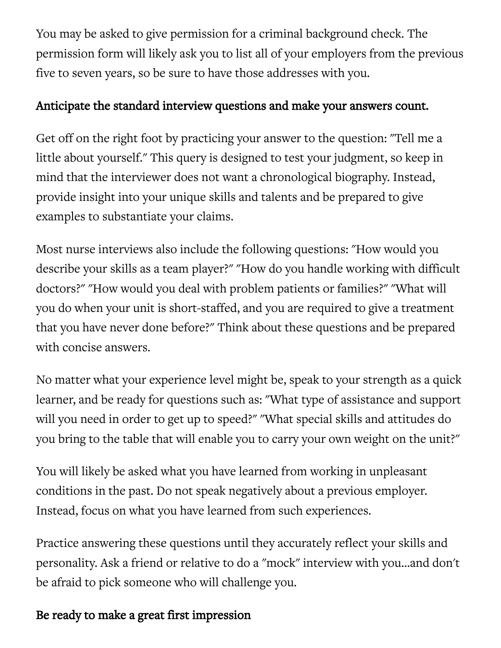You may be asked to give permission for a criminal background check. The permission form will likely ask you to list all of your employers from the previous five to seven years, so be sure to have those addresses with you.

#### Anticipate the standard interview questions and make your answers count.

Get off on the right foot by practicing your answer to the question: "Tell me a little about yourself." This query is designed to test your judgment, so keep in mind that the interviewer does not want a chronological biography. Instead, provide insight into your unique skills and talents and be prepared to give examples to substantiate your claims.

Most nurse interviews also include the following questions: "How would you describe your skills as a team player?" "How do you handle working with difficult doctors?" "How would you deal with problem patients or families?" "What will you do when your unit is short-staffed, and you are required to give a treatment that you have never done before?" Think about these questions and be prepared with concise answers.

No matter what your experience level might be, speak to your strength as a quick learner, and be ready for questions such as: "What type of assistance and support will you need in order to get up to speed?" "What special skills and attitudes do you bring to the table that will enable you to carry your own weight on the unit?"

You will likely be asked what you have learned from working in unpleasant conditions in the past. Do not speak negatively about a previous employer. Instead, focus on what you have learned from such experiences.

Practice answering these questions until they accurately reflect your skills and personality. Ask a friend or relative to do a "mock" interview with you…and don't be afraid to pick someone who will challenge you.

#### Be ready to make a great first impression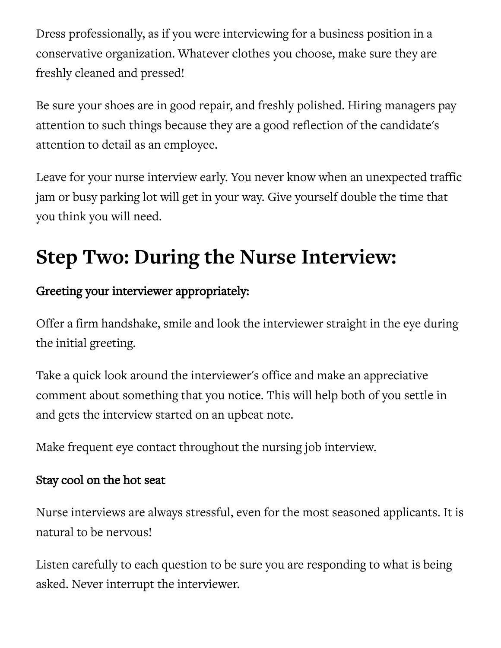Dress professionally, as if you were interviewing for a business position in a conservative organization. Whatever clothes you choose, make sure they are freshly cleaned and pressed!

Be sure your shoes are in good repair, and freshly polished. Hiring managers pay attention to such things because they are a good reflection of the candidate's attention to detail as an employee.

Leave for your nurse interview early. You never know when an unexpected traffic jam or busy parking lot will get in your way. Give yourself double the time that you think you will need.

# **Step Two: During the Nurse Interview:**

### Greeting your interviewer appropriately:

Offer a firm handshake, smile and look the interviewer straight in the eye during the initial greeting.

Take a quick look around the interviewer's office and make an appreciative comment about something that you notice. This will help both of you settle in and gets the interview started on an upbeat note.

Make frequent eye contact throughout the nursing job interview.

#### Stay cool on the hot seat

Nurse interviews are always stressful, even for the most seasoned applicants. It is natural to be nervous!

Listen carefully to each question to be sure you are responding to what is being asked. Never interrupt the interviewer.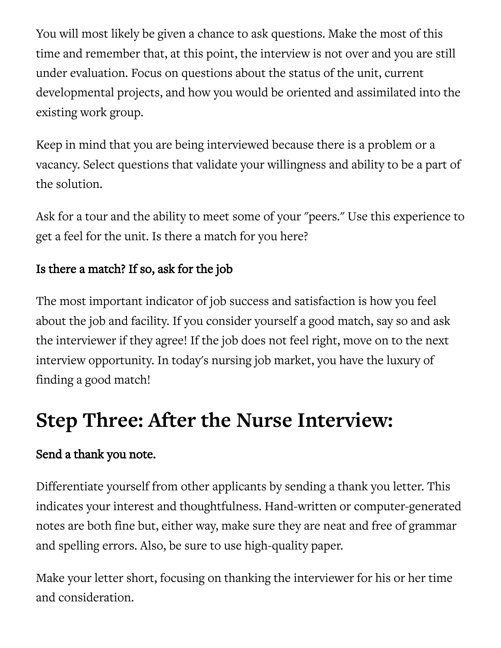You will most likely be given a chance to ask questions. Make the most of this time and remember that, at this point, the interview is not over and you are still under evaluation. Focus on questions about the status of the unit, current developmental projects, and how you would be oriented and assimilated into the existing work group.

Keep in mind that you are being interviewed because there is a problem or a vacancy. Select questions that validate your willingness and ability to be a part of the solution.

Ask for a tour and the ability to meet some of your "peers." Use this experience to get a feel for the unit. Is there a match for you here?

## Is there a match? If so, ask for the job

The most important indicator of job success and satisfaction is how you feel about the job and facility. If you consider yourself a good match, say so and ask the interviewer if they agree! If the job does not feel right, move on to the next interview opportunity. In today's nursing job market, you have the luxury of finding a good match!

# **Step Three: After the Nurse Interview:**

### Send a thank you note.

Differentiate yourself from other applicants by sending a thank you letter. This indicates your interest and thoughtfulness. Hand-written or computer-generated notes are both fine but, either way, make sure they are neat and free of grammar and spelling errors. Also, be sure to use high-quality paper.

Make your letter short, focusing on thanking the interviewer for his or her time and consideration.